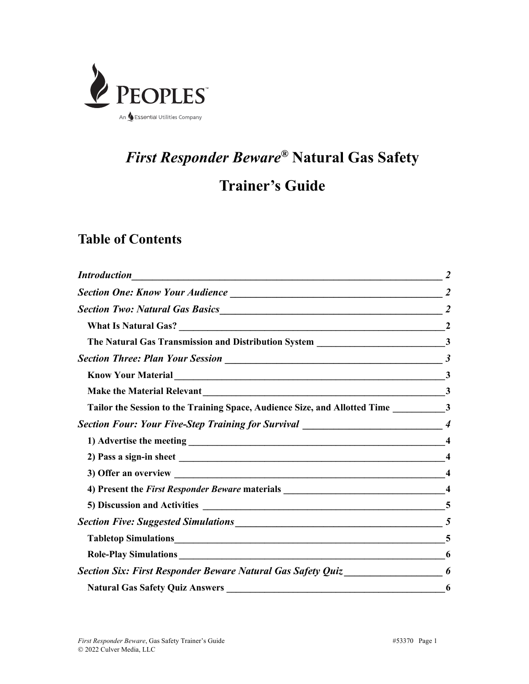

# *First Responder Beware®* **Natural Gas Safety**

# **Trainer's Guide**

## **Table of Contents**

| <b>Introduction</b><br><u> 1988 - Johann Stoff, deutscher Stoffen und der Stoffen und der Stoffen und der Stoffen und der Stoffen und d</u> |   |
|---------------------------------------------------------------------------------------------------------------------------------------------|---|
|                                                                                                                                             |   |
| Section Two: Natural Gas Basics 22 2                                                                                                        |   |
|                                                                                                                                             |   |
|                                                                                                                                             |   |
|                                                                                                                                             |   |
|                                                                                                                                             |   |
|                                                                                                                                             |   |
| Tailor the Session to the Training Space, Audience Size, and Allotted Time ____________________3                                            |   |
| Section Four: Your Five-Step Training for Survival ______________________________4                                                          |   |
|                                                                                                                                             |   |
|                                                                                                                                             |   |
|                                                                                                                                             |   |
|                                                                                                                                             |   |
|                                                                                                                                             |   |
|                                                                                                                                             |   |
|                                                                                                                                             |   |
|                                                                                                                                             | 6 |
| <b>Section Six: First Responder Beware Natural Gas Safety Quiz</b>                                                                          |   |
| <b>Natural Gas Safety Quiz Answers</b>                                                                                                      | 6 |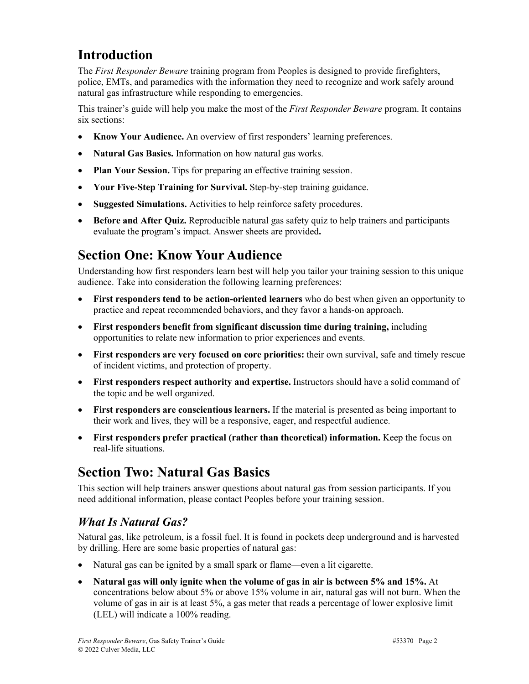# **Introduction**

The *First Responder Beware* training program from Peoples is designed to provide firefighters, police, EMTs, and paramedics with the information they need to recognize and work safely around natural gas infrastructure while responding to emergencies.

This trainer's guide will help you make the most of the *First Responder Beware* program. It contains six sections:

- **Know Your Audience.** An overview of first responders' learning preferences.
- **Natural Gas Basics.** Information on how natural gas works.
- **Plan Your Session.** Tips for preparing an effective training session.
- **Your Five-Step Training for Survival.** Step-by-step training guidance.
- **Suggested Simulations.** Activities to help reinforce safety procedures.
- **Before and After Quiz.** Reproducible natural gas safety quiz to help trainers and participants evaluate the program's impact. Answer sheets are provided**.**

# **Section One: Know Your Audience**

Understanding how first responders learn best will help you tailor your training session to this unique audience. Take into consideration the following learning preferences:

- **First responders tend to be action-oriented learners** who do best when given an opportunity to practice and repeat recommended behaviors, and they favor a hands-on approach.
- **First responders benefit from significant discussion time during training,** including opportunities to relate new information to prior experiences and events.
- **First responders are very focused on core priorities:** their own survival, safe and timely rescue of incident victims, and protection of property.
- **First responders respect authority and expertise.** Instructors should have a solid command of the topic and be well organized.
- **First responders are conscientious learners.** If the material is presented as being important to their work and lives, they will be a responsive, eager, and respectful audience.
- **First responders prefer practical (rather than theoretical) information.** Keep the focus on real-life situations.

# **Section Two: Natural Gas Basics**

This section will help trainers answer questions about natural gas from session participants. If you need additional information, please contact Peoples before your training session.

### *What Is Natural Gas?*

Natural gas, like petroleum, is a fossil fuel. It is found in pockets deep underground and is harvested by drilling. Here are some basic properties of natural gas:

- Natural gas can be ignited by a small spark or flame—even a lit cigarette.
- **Natural gas will only ignite when the volume of gas in air is between 5% and 15%.** At concentrations below about 5% or above 15% volume in air, natural gas will not burn. When the volume of gas in air is at least 5%, a gas meter that reads a percentage of lower explosive limit (LEL) will indicate a 100% reading.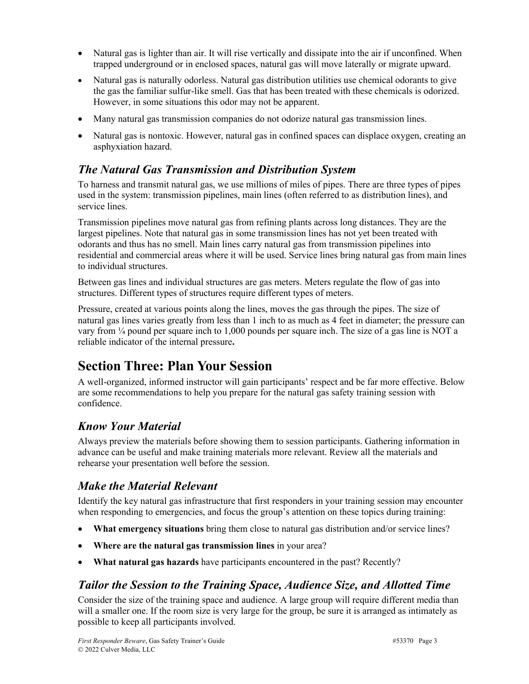- Natural gas is lighter than air. It will rise vertically and dissipate into the air if unconfined. When trapped underground or in enclosed spaces, natural gas will move laterally or migrate upward.
- Natural gas is naturally odorless. Natural gas distribution utilities use chemical odorants to give the gas the familiar sulfur-like smell. Gas that has been treated with these chemicals is odorized. However, in some situations this odor may not be apparent.
- Many natural gas transmission companies do not odorize natural gas transmission lines.
- Natural gas is nontoxic. However, natural gas in confined spaces can displace oxygen, creating an asphyxiation hazard.

#### *The Natural Gas Transmission and Distribution System*

To harness and transmit natural gas, we use millions of miles of pipes. There are three types of pipes used in the system: transmission pipelines, main lines (often referred to as distribution lines), and service lines.

Transmission pipelines move natural gas from refining plants across long distances. They are the largest pipelines. Note that natural gas in some transmission lines has not yet been treated with odorants and thus has no smell. Main lines carry natural gas from transmission pipelines into residential and commercial areas where it will be used. Service lines bring natural gas from main lines to individual structures.

Between gas lines and individual structures are gas meters. Meters regulate the flow of gas into structures. Different types of structures require different types of meters.

Pressure, created at various points along the lines, moves the gas through the pipes. The size of natural gas lines varies greatly from less than 1 inch to as much as 4 feet in diameter; the pressure can vary from ¼ pound per square inch to 1,000 pounds per square inch. The size of a gas line is NOT a reliable indicator of the internal pressure**.**

# **Section Three: Plan Your Session**

A well-organized, informed instructor will gain participants' respect and be far more effective. Below are some recommendations to help you prepare for the natural gas safety training session with confidence.

### *Know Your Material*

Always preview the materials before showing them to session participants. Gathering information in advance can be useful and make training materials more relevant. Review all the materials and rehearse your presentation well before the session.

#### *Make the Material Relevant*

Identify the key natural gas infrastructure that first responders in your training session may encounter when responding to emergencies, and focus the group's attention on these topics during training:

- **What emergency situations** bring them close to natural gas distribution and/or service lines?
- **Where are the natural gas transmission lines** in your area?
- **What natural gas hazards** have participants encountered in the past? Recently?

#### *Tailor the Session to the Training Space, Audience Size, and Allotted Time*

Consider the size of the training space and audience. A large group will require different media than will a smaller one. If the room size is very large for the group, be sure it is arranged as intimately as possible to keep all participants involved.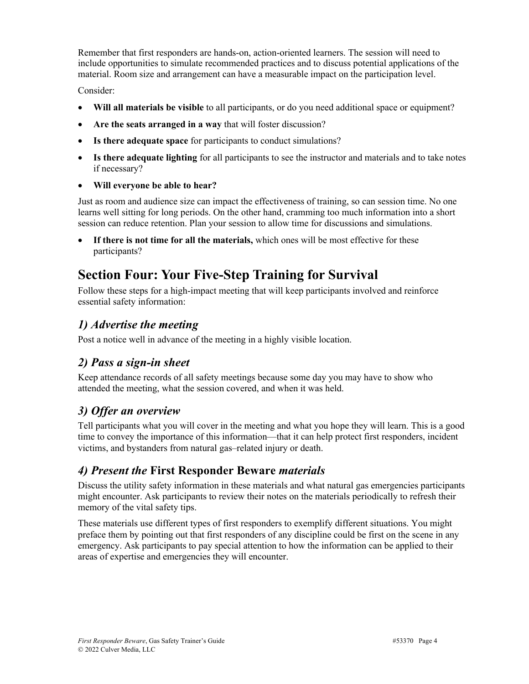Remember that first responders are hands-on, action-oriented learners. The session will need to include opportunities to simulate recommended practices and to discuss potential applications of the material. Room size and arrangement can have a measurable impact on the participation level.

Consider:

- **Will all materials be visible** to all participants, or do you need additional space or equipment?
- **Are the seats arranged in a way** that will foster discussion?
- **Is there adequate space** for participants to conduct simulations?
- **Is there adequate lighting** for all participants to see the instructor and materials and to take notes if necessary?
- **Will everyone be able to hear?**

Just as room and audience size can impact the effectiveness of training, so can session time. No one learns well sitting for long periods. On the other hand, cramming too much information into a short session can reduce retention. Plan your session to allow time for discussions and simulations.

• **If there is not time for all the materials,** which ones will be most effective for these participants?

# **Section Four: Your Five-Step Training for Survival**

Follow these steps for a high-impact meeting that will keep participants involved and reinforce essential safety information:

#### *1) Advertise the meeting*

Post a notice well in advance of the meeting in a highly visible location.

### *2) Pass a sign-in sheet*

Keep attendance records of all safety meetings because some day you may have to show who attended the meeting, what the session covered, and when it was held.

### *3) Offer an overview*

Tell participants what you will cover in the meeting and what you hope they will learn. This is a good time to convey the importance of this information—that it can help protect first responders, incident victims, and bystanders from natural gas–related injury or death.

#### *4) Present the* **First Responder Beware** *materials*

Discuss the utility safety information in these materials and what natural gas emergencies participants might encounter. Ask participants to review their notes on the materials periodically to refresh their memory of the vital safety tips.

These materials use different types of first responders to exemplify different situations. You might preface them by pointing out that first responders of any discipline could be first on the scene in any emergency. Ask participants to pay special attention to how the information can be applied to their areas of expertise and emergencies they will encounter.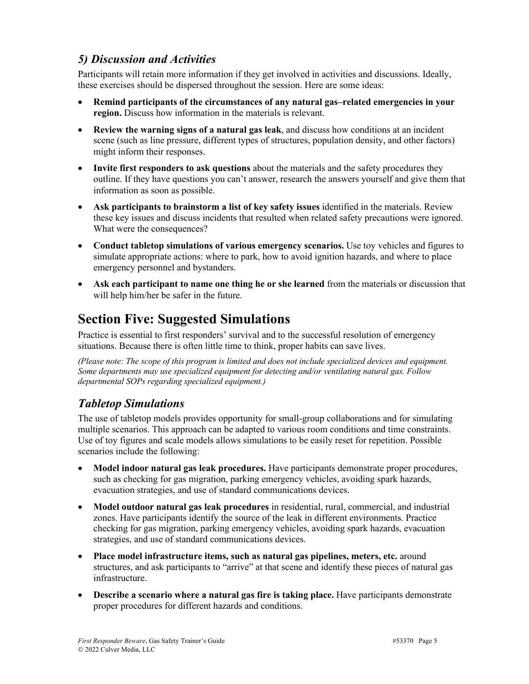#### *5) Discussion and Activities*

Participants will retain more information if they get involved in activities and discussions. Ideally, these exercises should be dispersed throughout the session. Here are some ideas:

- **Remind participants of the circumstances of any natural gas–related emergencies in your region.** Discuss how information in the materials is relevant.
- **Review the warning signs of a natural gas leak**, and discuss how conditions at an incident scene (such as line pressure, different types of structures, population density, and other factors) might inform their responses.
- **Invite first responders to ask questions** about the materials and the safety procedures they outline. If they have questions you can't answer, research the answers yourself and give them that information as soon as possible.
- **Ask participants to brainstorm a list of key safety issues** identified in the materials. Review these key issues and discuss incidents that resulted when related safety precautions were ignored. What were the consequences?
- **Conduct tabletop simulations of various emergency scenarios.** Use toy vehicles and figures to simulate appropriate actions: where to park, how to avoid ignition hazards, and where to place emergency personnel and bystanders.
- **Ask each participant to name one thing he or she learned** from the materials or discussion that will help him/her be safer in the future.

# **Section Five: Suggested Simulations**

Practice is essential to first responders' survival and to the successful resolution of emergency situations. Because there is often little time to think, proper habits can save lives.

*(Please note: The scope of this program is limited and does not include specialized devices and equipment. Some departments may use specialized equipment for detecting and/or ventilating natural gas. Follow departmental SOPs regarding specialized equipment.)*

#### *Tabletop Simulations*

The use of tabletop models provides opportunity for small-group collaborations and for simulating multiple scenarios. This approach can be adapted to various room conditions and time constraints. Use of toy figures and scale models allows simulations to be easily reset for repetition. Possible scenarios include the following:

- **Model indoor natural gas leak procedures.** Have participants demonstrate proper procedures, such as checking for gas migration, parking emergency vehicles, avoiding spark hazards, evacuation strategies, and use of standard communications devices.
- **Model outdoor natural gas leak procedures** in residential, rural, commercial, and industrial zones. Have participants identify the source of the leak in different environments. Practice checking for gas migration, parking emergency vehicles, avoiding spark hazards, evacuation strategies, and use of standard communications devices.
- **Place model infrastructure items, such as natural gas pipelines, meters, etc.** around structures, and ask participants to "arrive" at that scene and identify these pieces of natural gas infrastructure.
- **Describe a scenario where a natural gas fire is taking place.** Have participants demonstrate proper procedures for different hazards and conditions.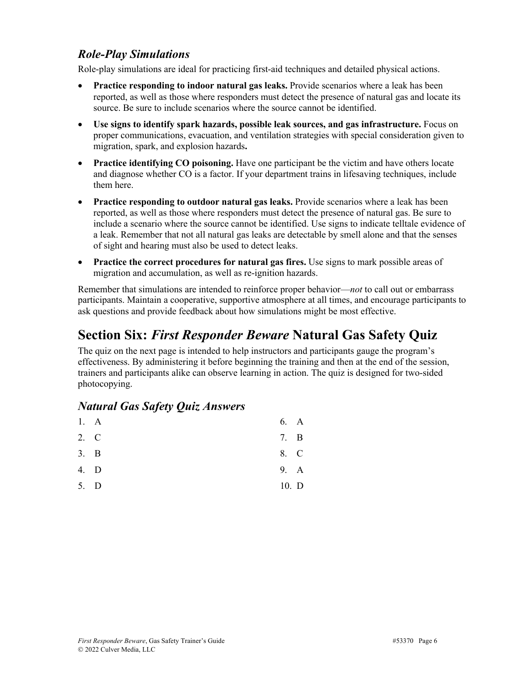#### *Role-Play Simulations*

Role-play simulations are ideal for practicing first-aid techniques and detailed physical actions.

- **Practice responding to indoor natural gas leaks.** Provide scenarios where a leak has been reported, as well as those where responders must detect the presence of natural gas and locate its source. Be sure to include scenarios where the source cannot be identified.
- **Use signs to identify spark hazards, possible leak sources, and gas infrastructure.** Focus on proper communications, evacuation, and ventilation strategies with special consideration given to migration, spark, and explosion hazards**.**
- **Practice identifying CO poisoning.** Have one participant be the victim and have others locate and diagnose whether CO is a factor. If your department trains in lifesaving techniques, include them here.
- **Practice responding to outdoor natural gas leaks.** Provide scenarios where a leak has been reported, as well as those where responders must detect the presence of natural gas. Be sure to include a scenario where the source cannot be identified. Use signs to indicate telltale evidence of a leak. Remember that not all natural gas leaks are detectable by smell alone and that the senses of sight and hearing must also be used to detect leaks.
- **Practice the correct procedures for natural gas fires.** Use signs to mark possible areas of migration and accumulation, as well as re-ignition hazards.

Remember that simulations are intended to reinforce proper behavior—*not* to call out or embarrass participants. Maintain a cooperative, supportive atmosphere at all times, and encourage participants to ask questions and provide feedback about how simulations might be most effective.

## **Section Six:** *First Responder Beware* **Natural Gas Safety Quiz**

The quiz on the next page is intended to help instructors and participants gauge the program's effectiveness. By administering it before beginning the training and then at the end of the session, trainers and participants alike can observe learning in action. The quiz is designed for two-sided photocopying.

#### *Natural Gas Safety Quiz Answers*

|      | 1. A | 6. A  |   |
|------|------|-------|---|
| 2. C |      | 7.    | B |
| 3. B |      | 8. C  |   |
| 4. D |      | 9. A  |   |
| 5. D |      | 10. D |   |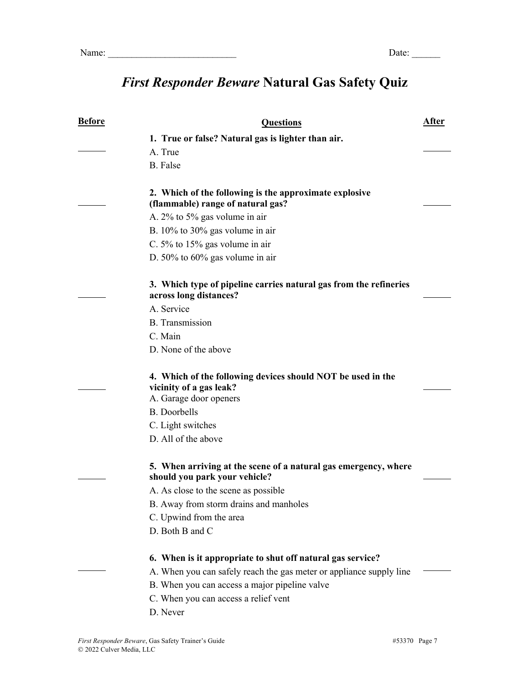# *First Responder Beware* **Natural Gas Safety Quiz**

| <b>Before</b> | <b>Questions</b>                                                                                                                  | After |
|---------------|-----------------------------------------------------------------------------------------------------------------------------------|-------|
|               | 1. True or false? Natural gas is lighter than air.                                                                                |       |
|               | A. True                                                                                                                           |       |
|               | B. False                                                                                                                          |       |
|               | 2. Which of the following is the approximate explosive<br>(flammable) range of natural gas?                                       |       |
|               | A. $2\%$ to $5\%$ gas volume in air                                                                                               |       |
|               | B. $10\%$ to 30% gas volume in air                                                                                                |       |
|               | C. 5% to $15\%$ gas volume in air                                                                                                 |       |
|               | D. $50\%$ to $60\%$ gas volume in air                                                                                             |       |
|               | 3. Which type of pipeline carries natural gas from the refineries<br>across long distances?                                       |       |
|               | A. Service                                                                                                                        |       |
|               | <b>B.</b> Transmission                                                                                                            |       |
|               | C. Main                                                                                                                           |       |
|               | D. None of the above                                                                                                              |       |
|               | 4. Which of the following devices should NOT be used in the<br>vicinity of a gas leak?                                            |       |
|               | A. Garage door openers                                                                                                            |       |
|               | <b>B.</b> Doorbells                                                                                                               |       |
|               | C. Light switches                                                                                                                 |       |
|               | D. All of the above                                                                                                               |       |
|               | 5. When arriving at the scene of a natural gas emergency, where<br>should you park your vehicle?                                  |       |
|               | A. As close to the scene as possible                                                                                              |       |
|               | B. Away from storm drains and manholes                                                                                            |       |
|               | C. Upwind from the area                                                                                                           |       |
|               | D. Both B and C                                                                                                                   |       |
|               | 6. When is it appropriate to shut off natural gas service?<br>A. When you can safely reach the gas meter or appliance supply line |       |
|               | B. When you can access a major pipeline valve                                                                                     |       |
|               | C. When you can access a relief vent                                                                                              |       |
|               | D. Never                                                                                                                          |       |
|               |                                                                                                                                   |       |